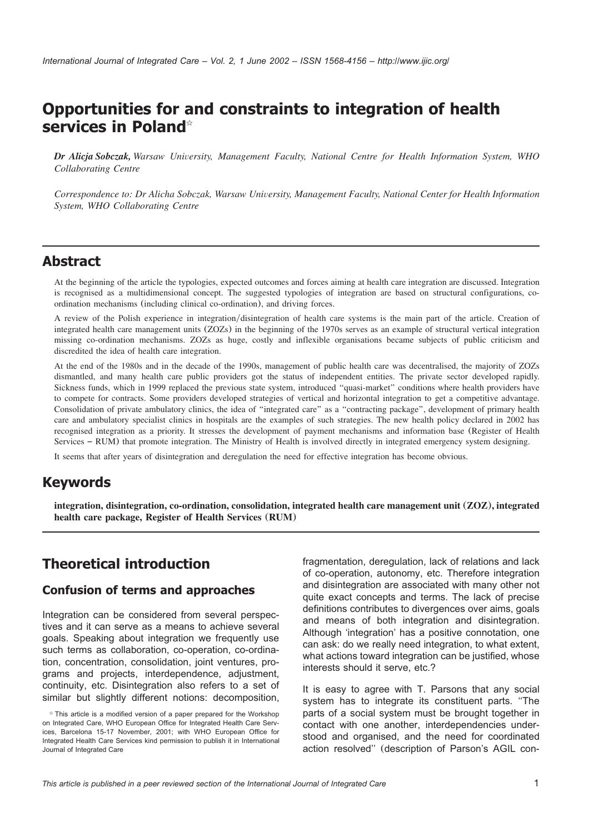# **Opportunities for and constraints to integration of health services in Poland**

*Dr Alicja Sobczak, Warsaw University, Management Faculty, National Centre for Health Information System, WHO Collaborating Centre*

*Correspondence to: Dr Alicha Sobczak, Warsaw University, Management Faculty, National Center for Health Information System, WHO Collaborating Centre*

## **Abstract**

At the beginning of the article the typologies, expected outcomes and forces aiming at health care integration are discussed. Integration is recognised as a multidimensional concept. The suggested typologies of integration are based on structural configurations, coordination mechanisms (including clinical co-ordination), and driving forces.

A review of the Polish experience in integration/disintegration of health care systems is the main part of the article. Creation of integrated health care management units (ZOZs) in the beginning of the 1970s serves as an example of structural vertical integration missing co-ordination mechanisms. ZOZs as huge, costly and inflexible organisations became subjects of public criticism and discredited the idea of health care integration.

At the end of the 1980s and in the decade of the 1990s, management of public health care was decentralised, the majority of ZOZs dismantled, and many health care public providers got the status of independent entities. The private sector developed rapidly. Sickness funds, which in 1999 replaced the previous state system, introduced "quasi-market" conditions where health providers have to compete for contracts. Some providers developed strategies of vertical and horizontal integration to get a competitive advantage. Consolidation of private ambulatory clinics, the idea of ''integrated care'' as a ''contracting package'', development of primary health care and ambulatory specialist clinics in hospitals are the examples of such strategies. The new health policy declared in 2002 has recognised integration as a priority. It stresses the development of payment mechanisms and information base (Register of Health Services – RUM) that promote integration. The Ministry of Health is involved directly in integrated emergency system designing.

It seems that after years of disintegration and deregulation the need for effective integration has become obvious.

## **Keywords**

**integration, disintegration, co-ordination, consolidation, integrated health care management unit** (**ZOZ**)**, integrated health care package, Register of Health Services** (**RUM**)

## **Theoretical introduction**

#### **Confusion of terms and approaches**

Integration can be considered from several perspectives and it can serve as a means to achieve several goals. Speaking about integration we frequently use such terms as collaboration, co-operation, co-ordination, concentration, consolidation, joint ventures, programs and projects, interdependence, adjustment, continuity, etc. Disintegration also refers to a set of similar but slightly different notions: decomposition,

fragmentation, deregulation, lack of relations and lack of co-operation, autonomy, etc. Therefore integration and disintegration are associated with many other not quite exact concepts and terms. The lack of precise definitions contributes to divergences over aims, goals and means of both integration and disintegration. Although 'integration' has a positive connotation, one can ask: do we really need integration, to what extent, what actions toward integration can be justified, whose interests should it serve, etc.?

It is easy to agree with T. Parsons that any social system has to integrate its constituent parts. ''The parts of a social system must be brought together in contact with one another, interdependencies understood and organised, and the need for coordinated action resolved'' (description of Parson's AGIL con-

 $*$  This article is a modified version of a paper prepared for the Workshop on Integrated Care, WHO European Office for Integrated Health Care Services, Barcelona 15-17 November, 2001; with WHO European Office for Integrated Health Care Services kind permission to publish it in International Journal of Integrated Care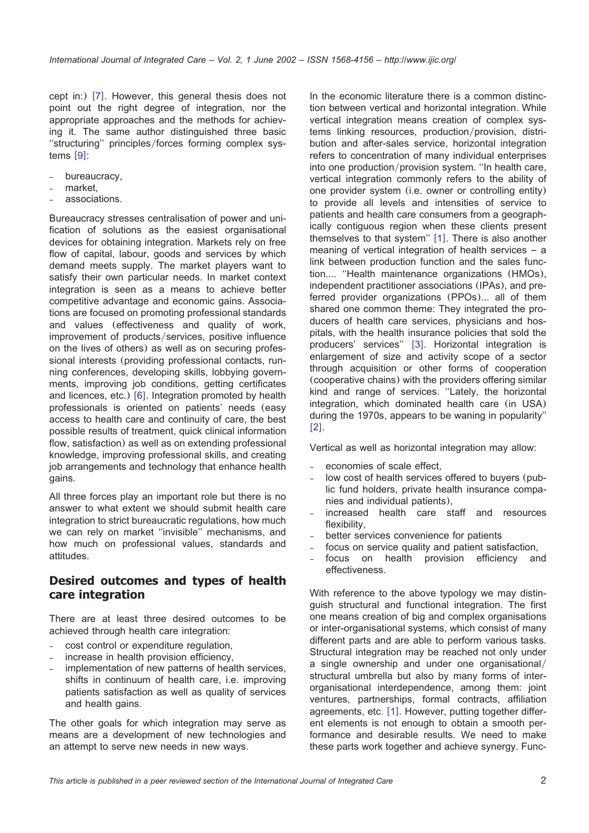cept in:) [[7](#page-8-0)]. However, this general thesis does not point out the right degree of integration, nor the appropriate approaches and the methods for achieving it. The same author distinguished three basic "structuring" principles/forces forming complex systems  $[9]$  $[9]$  $[9]$ :

- bureaucracy,
- market,
- associations.

Bureaucracy stresses centralisation of power and unification of solutions as the easiest organisational devices for obtaining integration. Markets rely on free flow of capital, labour, goods and services by which demand meets supply. The market players want to satisfy their own particular needs. In market context integration is seen as a means to achieve better competitive advantage and economic gains. Associations are focused on promoting professional standards and values (effectiveness and quality of work, improvement of products/services, positive influence on the lives of others) as well as on securing professional interests (providing professional contacts, running conferences, developing skills, lobbying governments, improving job conditions, getting certificates and licences, etc.)  $[6]$  $[6]$  $[6]$ . Integration promoted by health professionals is oriented on patients' needs (easy access to health care and continuity of care, the best possible results of treatment, quick clinical information flow, satisfaction) as well as on extending professional knowledge, improving professional skills, and creating job arrangements and technology that enhance health gains.

All three forces play an important role but there is no answer to what extent we should submit health care integration to strict bureaucratic regulations, how much we can rely on market ''invisible'' mechanisms, and how much on professional values, standards and attitudes.

### **Desired outcomes and types of health care integration**

There are at least three desired outcomes to be achieved through health care integration:

- cost control or expenditure regulation,
- increase in health provision efficiency,
- implementation of new patterns of health services, shifts in continuum of health care, i.e. improving patients satisfaction as well as quality of services and health gains.

The other goals for which integration may serve as means are a development of new technologies and an attempt to serve new needs in new ways.

In the economic literature there is a common distinction between vertical and horizontal integration. While vertical integration means creation of complex systems linking resources, production/provision, distribution and after-sales service, horizontal integration refers to concentration of many individual enterprises into one production/provision system. "In health care, vertical integration commonly refers to the ability of one provider system (i.e. owner or controlling entity) to provide all levels and intensities of service to patients and health care consumers from a geographically contiguous region when these clients present themselves to that system"  $[1]$  $[1]$  $[1]$ . There is also another meaning of vertical integration of health services – a link between production function and the sales function.... ''Health maintenance organizations (HMOs), independent practitioner associations (IPAs), and preferred provider organizations (PPOs)... all of them shared one common theme: They integrated the producers of health care services, physicians and hospitals, with the health insurance policies that sold the producers' services" [[3](#page-8-0)]. Horizontal integration is enlargement of size and activity scope of a sector through acquisition or other forms of cooperation (cooperative chains) with the providers offering similar kind and range of services. ''Lately, the horizontal integration, which dominated health care (in USA) during the 1970s, appears to be waning in popularity''  $[2]$  $[2]$  $[2]$ .

Vertical as well as horizontal integration may allow:

- economies of scale effect,
- low cost of health services offered to buyers (public fund holders, private health insurance companies and individual patients),
- increased health care staff and resources flexibility,
- better services convenience for patients
- focus on service quality and patient satisfaction,<br>focus on health provision efficiency and
- focus on health provision effectiveness.

With reference to the above typology we may distinguish structural and functional integration. The first one means creation of big and complex organisations or inter-organisational systems, which consist of many different parts and are able to perform various tasks. Structural integration may be reached not only under a single ownership and under one organisational/ structural umbrella but also by many forms of interorganisational interdependence, among them: joint ventures, partnerships, formal contracts, affiliation agreements, etc. [[1](#page-8-0)]. However, putting together different elements is not enough to obtain a smooth performance and desirable results. We need to make these parts work together and achieve synergy. Func-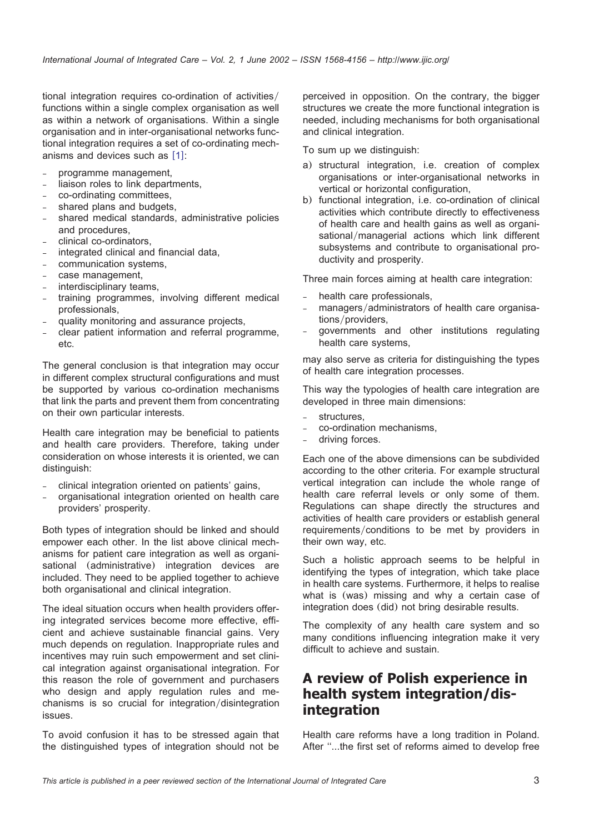tional integration requires co-ordination of activities/ functions within a single complex organisation as well as within a network of organisations. Within a single organisation and in inter-organisational networks functional integration requires a set of co-ordinating mechanisms and devices such as  $[1]$  $[1]$  $[1]$ :

– programme management,

- liaison roles to link departments,
- co-ordinating committees,
- shared plans and budgets,
- shared medical standards, administrative policies and procedures,
- clinical co-ordinators,
- integrated clinical and financial data,
- communication systems,
- case management,
- interdisciplinary teams,
- training programmes, involving different medical professionals,
- quality monitoring and assurance projects,
- clear patient information and referral programme, etc.

The general conclusion is that integration may occur in different complex structural configurations and must be supported by various co-ordination mechanisms that link the parts and prevent them from concentrating on their own particular interests.

Health care integration may be beneficial to patients and health care providers. Therefore, taking under consideration on whose interests it is oriented, we can distinguish:

- clinical integration oriented on patients' gains,
- organisational integration oriented on health care providers' prosperity.

Both types of integration should be linked and should empower each other. In the list above clinical mechanisms for patient care integration as well as organisational (administrative) integration devices are included. They need to be applied together to achieve both organisational and clinical integration.

The ideal situation occurs when health providers offering integrated services become more effective, efficient and achieve sustainable financial gains. Very much depends on regulation. Inappropriate rules and incentives may ruin such empowerment and set clinical integration against organisational integration. For this reason the role of government and purchasers who design and apply regulation rules and mechanisms is so crucial for integration/disintegration issues.

To avoid confusion it has to be stressed again that the distinguished types of integration should not be

perceived in opposition. On the contrary, the bigger structures we create the more functional integration is needed, including mechanisms for both organisational and clinical integration.

To sum up we distinguish:

- a) structural integration, i.e. creation of complex organisations or inter-organisational networks in vertical or horizontal configuration,
- b) functional integration, i.e. co-ordination of clinical activities which contribute directly to effectiveness of health care and health gains as well as organisational/managerial actions which link different subsystems and contribute to organisational productivity and prosperity.

Three main forces aiming at health care integration:

- health care professionals,
- managers/administrators of health care organisations/providers,
- governments and other institutions regulating health care systems,

may also serve as criteria for distinguishing the types of health care integration processes.

This way the typologies of health care integration are developed in three main dimensions:

- structures.
- co-ordination mechanisms,
- driving forces.

Each one of the above dimensions can be subdivided according to the other criteria. For example structural vertical integration can include the whole range of health care referral levels or only some of them. Regulations can shape directly the structures and activities of health care providers or establish general requirements/conditions to be met by providers in their own way, etc.

Such a holistic approach seems to be helpful in identifying the types of integration, which take place in health care systems. Furthermore, it helps to realise what is (was) missing and why a certain case of integration does (did) not bring desirable results.

The complexity of any health care system and so many conditions influencing integration make it very difficult to achieve and sustain.

# **A review of Polish experience in health system integration/disintegration**

Health care reforms have a long tradition in Poland. After ''...the first set of reforms aimed to develop free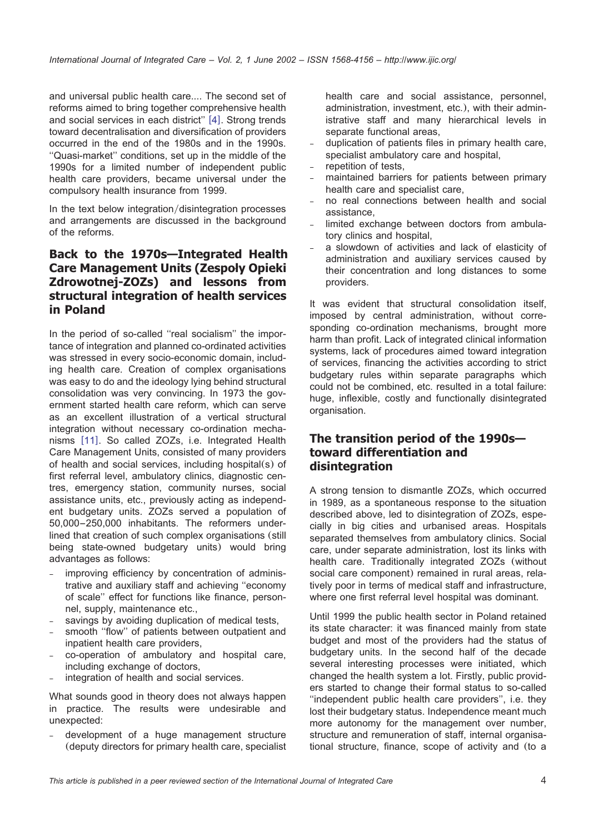and universal public health care.... The second set of reforms aimed to bring together comprehensive health and social services in each district"  $[4]$  $[4]$  $[4]$ . Strong trends toward decentralisation and diversification of providers occurred in the end of the 1980s and in the 1990s. ''Quasi-market'' conditions, set up in the middle of the 1990s for a limited number of independent public health care providers, became universal under the compulsory health insurance from 1999.

In the text below integration/disintegration processes and arrangements are discussed in the background of the reforms.

### **Back to the 1970s—Integrated Health Care Management Units (Zespoly Opieki** { **Zdrowotnej-ZOZs) and lessons from structural integration of health services in Poland**

In the period of so-called ''real socialism'' the importance of integration and planned co-ordinated activities was stressed in every socio-economic domain, including health care. Creation of complex organisations was easy to do and the ideology lying behind structural consolidation was very convincing. In 1973 the government started health care reform, which can serve as an excellent illustration of a vertical structural integration without necessary co-ordination mecha-nisms [[11](#page-9-0)]. So called ZOZs, i.e. Integrated Health Care Management Units, consisted of many providers of health and social services, including hospital(s) of first referral level, ambulatory clinics, diagnostic centres, emergency station, community nurses, social assistance units, etc., previously acting as independent budgetary units. ZOZs served a population of 50,000–250,000 inhabitants. The reformers underlined that creation of such complex organisations (still being state-owned budgetary units) would bring advantages as follows:

- improving efficiency by concentration of administrative and auxiliary staff and achieving ''economy of scale'' effect for functions like finance, personnel, supply, maintenance etc.,
- savings by avoiding duplication of medical tests,
- smooth ''flow'' of patients between outpatient and inpatient health care providers,
- co-operation of ambulatory and hospital care, including exchange of doctors,
- integration of health and social services.

What sounds good in theory does not always happen in practice. The results were undesirable and unexpected:

development of a huge management structure (deputy directors for primary health care, specialist health care and social assistance, personnel, administration, investment, etc.), with their administrative staff and many hierarchical levels in separate functional areas,

- duplication of patients files in primary health care, specialist ambulatory care and hospital,
- repetition of tests,
- maintained barriers for patients between primary health care and specialist care,
- no real connections between health and social assistance,
- limited exchange between doctors from ambulatory clinics and hospital,
- a slowdown of activities and lack of elasticity of administration and auxiliary services caused by their concentration and long distances to some providers.

It was evident that structural consolidation itself, imposed by central administration, without corresponding co-ordination mechanisms, brought more harm than profit. Lack of integrated clinical information systems, lack of procedures aimed toward integration of services, financing the activities according to strict budgetary rules within separate paragraphs which could not be combined, etc. resulted in a total failure: huge, inflexible, costly and functionally disintegrated organisation.

#### **The transition period of the 1990s toward differentiation and disintegration**

A strong tension to dismantle ZOZs, which occurred in 1989, as a spontaneous response to the situation described above, led to disintegration of ZOZs, especially in big cities and urbanised areas. Hospitals separated themselves from ambulatory clinics. Social care, under separate administration, lost its links with health care. Traditionally integrated ZOZs (without social care component) remained in rural areas, relatively poor in terms of medical staff and infrastructure, where one first referral level hospital was dominant.

Until 1999 the public health sector in Poland retained its state character: it was financed mainly from state budget and most of the providers had the status of budgetary units. In the second half of the decade several interesting processes were initiated, which changed the health system a lot. Firstly, public providers started to change their formal status to so-called ''independent public health care providers'', i.e. they lost their budgetary status. Independence meant much more autonomy for the management over number, structure and remuneration of staff, internal organisational structure, finance, scope of activity and (to a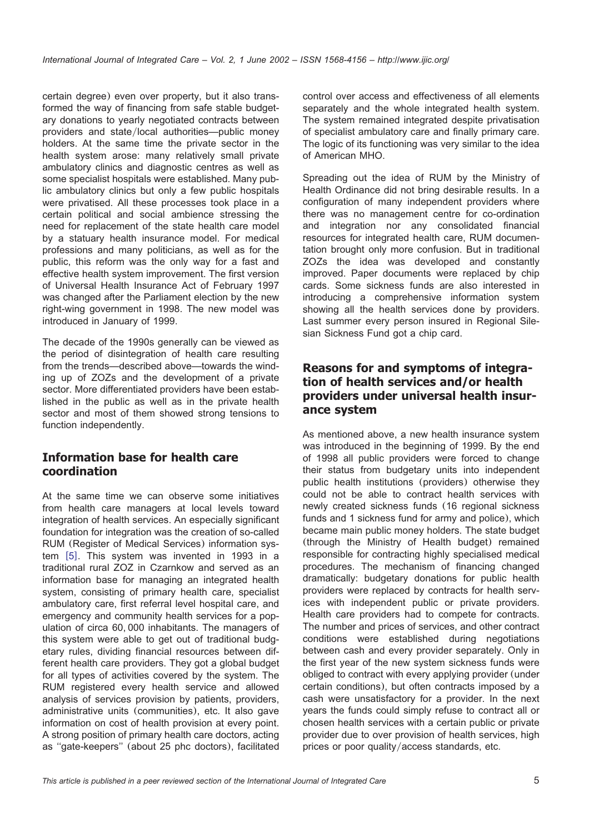certain degree) even over property, but it also transformed the way of financing from safe stable budgetary donations to yearly negotiated contracts between providers and state/local authorities—public money holders. At the same time the private sector in the health system arose: many relatively small private ambulatory clinics and diagnostic centres as well as some specialist hospitals were established. Many public ambulatory clinics but only a few public hospitals were privatised. All these processes took place in a certain political and social ambience stressing the need for replacement of the state health care model by a statuary health insurance model. For medical professions and many politicians, as well as for the public, this reform was the only way for a fast and effective health system improvement. The first version of Universal Health Insurance Act of February 1997 was changed after the Parliament election by the new right-wing government in 1998. The new model was introduced in January of 1999.

The decade of the 1990s generally can be viewed as the period of disintegration of health care resulting from the trends—described above—towards the winding up of ZOZs and the development of a private sector. More differentiated providers have been established in the public as well as in the private health sector and most of them showed strong tensions to function independently.

## **Information base for health care coordination**

At the same time we can observe some initiatives from health care managers at local levels toward integration of health services. An especially significant foundation for integration was the creation of so-called RUM (Register of Medical Services) information system  $[5]$  $[5]$  $[5]$ . This system was invented in 1993 in a traditional rural ZOZ in Czarnkow and served as an ´ information base for managing an integrated health system, consisting of primary health care, specialist ambulatory care, first referral level hospital care, and emergency and community health services for a population of circa 60, 000 inhabitants. The managers of this system were able to get out of traditional budgetary rules, dividing financial resources between different health care providers. They got a global budget for all types of activities covered by the system. The RUM registered every health service and allowed analysis of services provision by patients, providers, administrative units (communities), etc. It also gave information on cost of health provision at every point. A strong position of primary health care doctors, acting as ''gate-keepers'' (about 25 phc doctors), facilitated control over access and effectiveness of all elements separately and the whole integrated health system. The system remained integrated despite privatisation of specialist ambulatory care and finally primary care. The logic of its functioning was very similar to the idea of American MHO.

Spreading out the idea of RUM by the Ministry of Health Ordinance did not bring desirable results. In a configuration of many independent providers where there was no management centre for co-ordination and integration nor any consolidated financial resources for integrated health care, RUM documentation brought only more confusion. But in traditional ZOZs the idea was developed and constantly improved. Paper documents were replaced by chip cards. Some sickness funds are also interested in introducing a comprehensive information system showing all the health services done by providers. Last summer every person insured in Regional Silesian Sickness Fund got a chip card.

### **Reasons for and symptoms of integration of health services and/or health providers under universal health insurance system**

As mentioned above, a new health insurance system was introduced in the beginning of 1999. By the end of 1998 all public providers were forced to change their status from budgetary units into independent public health institutions (providers) otherwise they could not be able to contract health services with newly created sickness funds (16 regional sickness funds and 1 sickness fund for army and police), which became main public money holders. The state budget (through the Ministry of Health budget) remained responsible for contracting highly specialised medical procedures. The mechanism of financing changed dramatically: budgetary donations for public health providers were replaced by contracts for health services with independent public or private providers. Health care providers had to compete for contracts. The number and prices of services, and other contract conditions were established during negotiations between cash and every provider separately. Only in the first year of the new system sickness funds were obliged to contract with every applying provider (under certain conditions), but often contracts imposed by a cash were unsatisfactory for a provider. In the next years the funds could simply refuse to contract all or chosen health services with a certain public or private provider due to over provision of health services, high prices or poor quality/access standards, etc.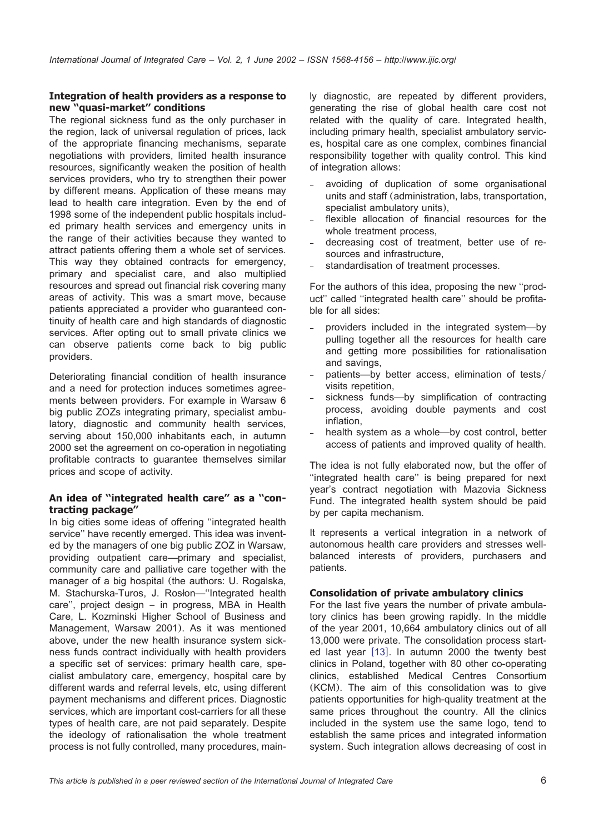#### **Integration of health providers as a response to new ''quasi-market'' conditions**

The regional sickness fund as the only purchaser in the region, lack of universal regulation of prices, lack of the appropriate financing mechanisms, separate negotiations with providers, limited health insurance resources, significantly weaken the position of health services providers, who try to strengthen their power by different means. Application of these means may lead to health care integration. Even by the end of 1998 some of the independent public hospitals included primary health services and emergency units in the range of their activities because they wanted to attract patients offering them a whole set of services. This way they obtained contracts for emergency, primary and specialist care, and also multiplied resources and spread out financial risk covering many areas of activity. This was a smart move, because patients appreciated a provider who guaranteed continuity of health care and high standards of diagnostic services. After opting out to small private clinics we can observe patients come back to big public providers.

Deteriorating financial condition of health insurance and a need for protection induces sometimes agreements between providers. For example in Warsaw 6 big public ZOZs integrating primary, specialist ambulatory, diagnostic and community health services, serving about 150,000 inhabitants each, in autumn 2000 set the agreement on co-operation in negotiating profitable contracts to guarantee themselves similar prices and scope of activity.

#### **An idea of ''integrated health care'' as a ''contracting package''**

In big cities some ideas of offering ''integrated health service'' have recently emerged. This idea was invented by the managers of one big public ZOZ in Warsaw, providing outpatient care—primary and specialist, community care and palliative care together with the manager of a big hospital (the authors: U. Rogalska, M. Stachurska-Turos, J. Rosłon-"Integrated health care'', project design – in progress, MBA in Health Care, L. Kozminski Higher School of Business and ´ Management, Warsaw 2001). As it was mentioned above, under the new health insurance system sickness funds contract individually with health providers a specific set of services: primary health care, specialist ambulatory care, emergency, hospital care by different wards and referral levels, etc, using different payment mechanisms and different prices. Diagnostic services, which are important cost-carriers for all these types of health care, are not paid separately. Despite the ideology of rationalisation the whole treatment process is not fully controlled, many procedures, mainly diagnostic, are repeated by different providers, generating the rise of global health care cost not related with the quality of care. Integrated health, including primary health, specialist ambulatory services, hospital care as one complex, combines financial responsibility together with quality control. This kind of integration allows:

- avoiding of duplication of some organisational units and staff (administration, labs, transportation, specialist ambulatory units),
- flexible allocation of financial resources for the whole treatment process,
- decreasing cost of treatment, better use of resources and infrastructure,
- standardisation of treatment processes.

For the authors of this idea, proposing the new ''product'' called ''integrated health care'' should be profitable for all sides:

- providers included in the integrated system—by pulling together all the resources for health care and getting more possibilities for rationalisation and savings,
- patients—by better access, elimination of tests/ visits repetition,
- sickness funds--by simplification of contracting process, avoiding double payments and cost inflation,
- health system as a whole—by cost control, better access of patients and improved quality of health.

The idea is not fully elaborated now, but the offer of ''integrated health care'' is being prepared for next year's contract negotiation with Mazovia Sickness Fund. The integrated health system should be paid by per capita mechanism.

It represents a vertical integration in a network of autonomous health care providers and stresses wellbalanced interests of providers, purchasers and patients.

#### **Consolidation of private ambulatory clinics**

For the last five years the number of private ambulatory clinics has been growing rapidly. In the middle of the year 2001, 10,664 ambulatory clinics out of all 13,000 were private. The consolidation process started last year  $[13]$  $[13]$  $[13]$ . In autumn 2000 the twenty best clinics in Poland, together with 80 other co-operating clinics, established Medical Centres Consortium (KCM). The aim of this consolidation was to give patients opportunities for high-quality treatment at the same prices throughout the country. All the clinics included in the system use the same logo, tend to establish the same prices and integrated information system. Such integration allows decreasing of cost in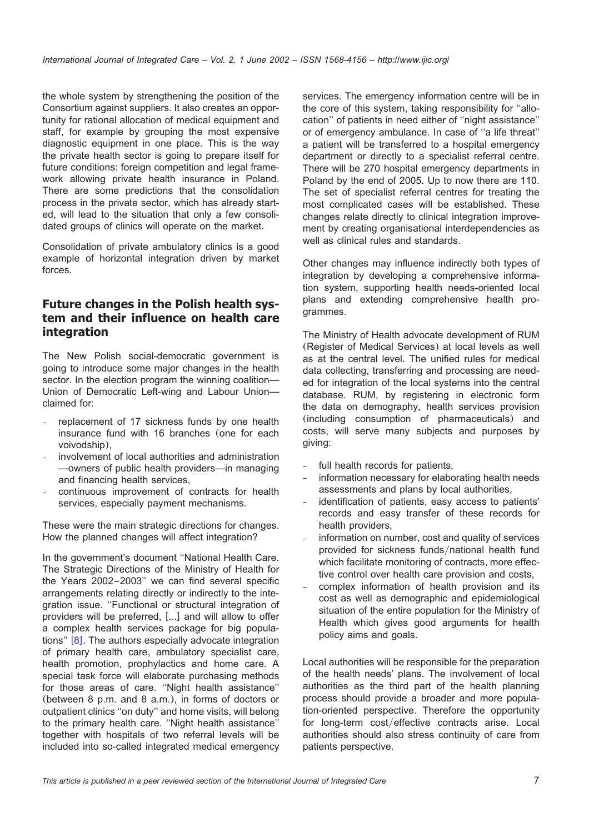the whole system by strengthening the position of the Consortium against suppliers. It also creates an opportunity for rational allocation of medical equipment and staff, for example by grouping the most expensive diagnostic equipment in one place. This is the way the private health sector is going to prepare itself for future conditions: foreign competition and legal framework allowing private health insurance in Poland. There are some predictions that the consolidation process in the private sector, which has already started, will lead to the situation that only a few consolidated groups of clinics will operate on the market.

Consolidation of private ambulatory clinics is a good example of horizontal integration driven by market forces.

### **Future changes in the Polish health system and their influence on health care integration**

The New Polish social-democratic government is going to introduce some major changes in the health sector. In the election program the winning coalition— Union of Democratic Left-wing and Labour Union claimed for:

- replacement of 17 sickness funds by one health insurance fund with 16 branches (one for each voivodship),
- involvement of local authorities and administration —owners of public health providers—in managing and financing health services,
- continuous improvement of contracts for health services, especially payment mechanisms.

These were the main strategic directions for changes. How the planned changes will affect integration?

In the government's document ''National Health Care. The Strategic Directions of the Ministry of Health for the Years 2002–2003'' we can find several specific arrangements relating directly or indirectly to the integration issue. ''Functional or structural integration of providers will be preferred, [...] and will allow to offer a complex health services package for big populations"  $[8]$  $[8]$  $[8]$ . The authors especially advocate integration of primary health care, ambulatory specialist care, health promotion, prophylactics and home care. A special task force will elaborate purchasing methods for those areas of care. ''Night health assistance'' (between 8 p.m. and 8 a.m.), in forms of doctors or outpatient clinics ''on duty'' and home visits, will belong to the primary health care. ''Night health assistance'' together with hospitals of two referral levels will be included into so-called integrated medical emergency services. The emergency information centre will be in the core of this system, taking responsibility for ''allocation'' of patients in need either of ''night assistance'' or of emergency ambulance. In case of ''a life threat'' a patient will be transferred to a hospital emergency department or directly to a specialist referral centre. There will be 270 hospital emergency departments in Poland by the end of 2005. Up to now there are 110. The set of specialist referral centres for treating the most complicated cases will be established. These changes relate directly to clinical integration improvement by creating organisational interdependencies as well as clinical rules and standards.

Other changes may influence indirectly both types of integration by developing a comprehensive information system, supporting health needs-oriented local plans and extending comprehensive health programmes.

The Ministry of Health advocate development of RUM (Register of Medical Services) at local levels as well as at the central level. The unified rules for medical data collecting, transferring and processing are needed for integration of the local systems into the central database. RUM, by registering in electronic form the data on demography, health services provision (including consumption of pharmaceuticals) and costs, will serve many subjects and purposes by giving:

- full health records for patients.
- information necessary for elaborating health needs assessments and plans by local authorities,
- identification of patients, easy access to patients' records and easy transfer of these records for health providers,
- information on number, cost and quality of services provided for sickness funds/national health fund which facilitate monitoring of contracts, more effective control over health care provision and costs,
- complex information of health provision and its cost as well as demographic and epidemiological situation of the entire population for the Ministry of Health which gives good arguments for health policy aims and goals.

Local authorities will be responsible for the preparation of the health needs' plans. The involvement of local authorities as the third part of the health planning process should provide a broader and more population-oriented perspective. Therefore the opportunity for long-term cost/effective contracts arise. Local authorities should also stress continuity of care from patients perspective.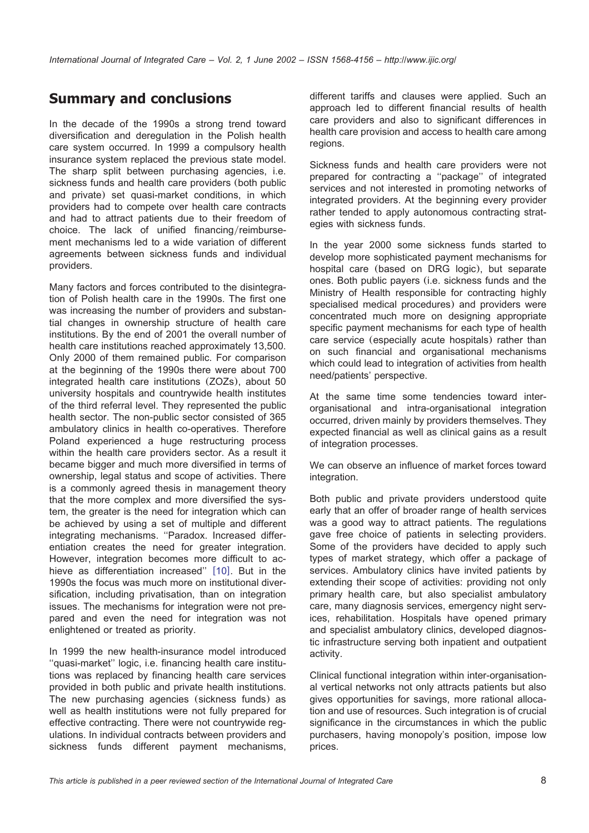# **Summary and conclusions**

In the decade of the 1990s a strong trend toward diversification and deregulation in the Polish health care system occurred. In 1999 a compulsory health insurance system replaced the previous state model. The sharp split between purchasing agencies, i.e. sickness funds and health care providers (both public and private) set quasi-market conditions, in which providers had to compete over health care contracts and had to attract patients due to their freedom of choice. The lack of unified financing/reimbursement mechanisms led to a wide variation of different agreements between sickness funds and individual providers.

Many factors and forces contributed to the disintegration of Polish health care in the 1990s. The first one was increasing the number of providers and substantial changes in ownership structure of health care institutions. By the end of 2001 the overall number of health care institutions reached approximately 13,500. Only 2000 of them remained public. For comparison at the beginning of the 1990s there were about 700 integrated health care institutions (ZOZs), about 50 university hospitals and countrywide health institutes of the third referral level. They represented the public health sector. The non-public sector consisted of 365 ambulatory clinics in health co-operatives. Therefore Poland experienced a huge restructuring process within the health care providers sector. As a result it became bigger and much more diversified in terms of ownership, legal status and scope of activities. There is a commonly agreed thesis in management theory that the more complex and more diversified the system, the greater is the need for integration which can be achieved by using a set of multiple and different integrating mechanisms. ''Paradox. Increased differentiation creates the need for greater integration. However, integration becomes more difficult to ac-hieve as differentiation increased" [[10](#page-9-0)]. But in the 1990s the focus was much more on institutional diversification, including privatisation, than on integration issues. The mechanisms for integration were not prepared and even the need for integration was not enlightened or treated as priority.

In 1999 the new health-insurance model introduced ''quasi-market'' logic, i.e. financing health care institutions was replaced by financing health care services provided in both public and private health institutions. The new purchasing agencies (sickness funds) as well as health institutions were not fully prepared for effective contracting. There were not countrywide regulations. In individual contracts between providers and sickness funds different payment mechanisms, different tariffs and clauses were applied. Such an approach led to different financial results of health care providers and also to significant differences in health care provision and access to health care among regions.

Sickness funds and health care providers were not prepared for contracting a ''package'' of integrated services and not interested in promoting networks of integrated providers. At the beginning every provider rather tended to apply autonomous contracting strategies with sickness funds.

In the year 2000 some sickness funds started to develop more sophisticated payment mechanisms for hospital care (based on DRG logic), but separate ones. Both public payers (i.e. sickness funds and the Ministry of Health responsible for contracting highly specialised medical procedures) and providers were concentrated much more on designing appropriate specific payment mechanisms for each type of health care service (especially acute hospitals) rather than on such financial and organisational mechanisms which could lead to integration of activities from health need/patients' perspective.

At the same time some tendencies toward interorganisational and intra-organisational integration occurred, driven mainly by providers themselves. They expected financial as well as clinical gains as a result of integration processes.

We can observe an influence of market forces toward integration.

Both public and private providers understood quite early that an offer of broader range of health services was a good way to attract patients. The regulations gave free choice of patients in selecting providers. Some of the providers have decided to apply such types of market strategy, which offer a package of services. Ambulatory clinics have invited patients by extending their scope of activities: providing not only primary health care, but also specialist ambulatory care, many diagnosis services, emergency night services, rehabilitation. Hospitals have opened primary and specialist ambulatory clinics, developed diagnostic infrastructure serving both inpatient and outpatient activity.

Clinical functional integration within inter-organisational vertical networks not only attracts patients but also gives opportunities for savings, more rational allocation and use of resources. Such integration is of crucial significance in the circumstances in which the public purchasers, having monopoly's position, impose low prices.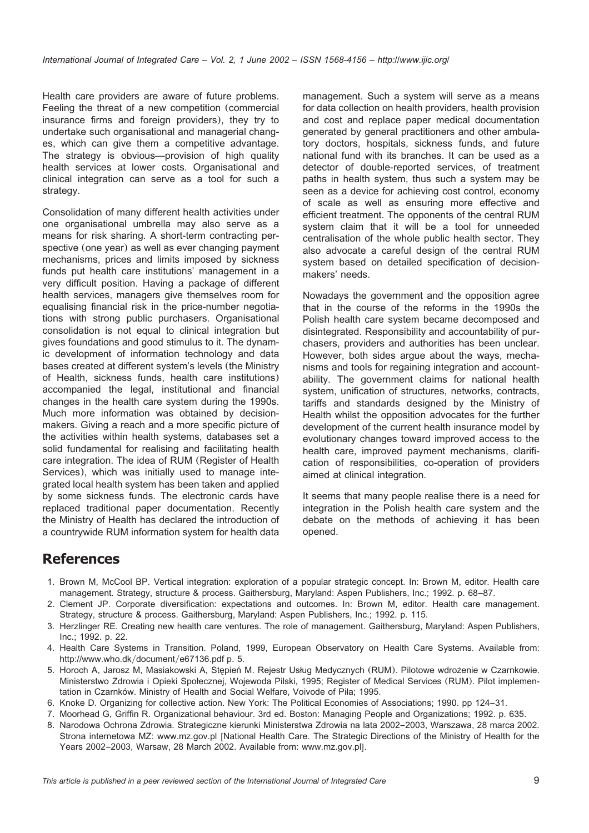<span id="page-8-0"></span>Health care providers are aware of future problems. Feeling the threat of a new competition (commercial insurance firms and foreign providers), they try to undertake such organisational and managerial changes, which can give them a competitive advantage. The strategy is obvious—provision of high quality health services at lower costs. Organisational and clinical integration can serve as a tool for such a strategy.

Consolidation of many different health activities under one organisational umbrella may also serve as a means for risk sharing. A short-term contracting perspective (one year) as well as ever changing payment mechanisms, prices and limits imposed by sickness funds put health care institutions' management in a very difficult position. Having a package of different health services, managers give themselves room for equalising financial risk in the price-number negotiations with strong public purchasers. Organisational consolidation is not equal to clinical integration but gives foundations and good stimulus to it. The dynamic development of information technology and data bases created at different system's levels (the Ministry of Health, sickness funds, health care institutions) accompanied the legal, institutional and financial changes in the health care system during the 1990s. Much more information was obtained by decisionmakers. Giving a reach and a more specific picture of the activities within health systems, databases set a solid fundamental for realising and facilitating health care integration. The idea of RUM (Register of Health Services), which was initially used to manage integrated local health system has been taken and applied by some sickness funds. The electronic cards have replaced traditional paper documentation. Recently the Ministry of Health has declared the introduction of a countrywide RUM information system for health data

management. Such a system will serve as a means for data collection on health providers, health provision and cost and replace paper medical documentation generated by general practitioners and other ambulatory doctors, hospitals, sickness funds, and future national fund with its branches. It can be used as a detector of double-reported services, of treatment paths in health system, thus such a system may be seen as a device for achieving cost control, economy of scale as well as ensuring more effective and efficient treatment. The opponents of the central RUM system claim that it will be a tool for unneeded centralisation of the whole public health sector. They also advocate a careful design of the central RUM system based on detailed specification of decisionmakers' needs.

Nowadays the government and the opposition agree that in the course of the reforms in the 1990s the Polish health care system became decomposed and disintegrated. Responsibility and accountability of purchasers, providers and authorities has been unclear. However, both sides argue about the ways, mechanisms and tools for regaining integration and accountability. The government claims for national health system, unification of structures, networks, contracts, tariffs and standards designed by the Ministry of Health whilst the opposition advocates for the further development of the current health insurance model by evolutionary changes toward improved access to the health care, improved payment mechanisms, clarification of responsibilities, co-operation of providers aimed at clinical integration.

It seems that many people realise there is a need for integration in the Polish health care system and the debate on the methods of achieving it has been opened.

## **References**

- 1. Brown M, McCool BP. Vertical integration: exploration of a popular strategic concept. In: Brown M, editor. Health care management. Strategy, structure & process. Gaithersburg, Maryland: Aspen Publishers, Inc.; 1992. p. 68–87.
- 2. Clement JP. Corporate diversification: expectations and outcomes. In: Brown M, editor. Health care management. Strategy, structure & process. Gaithersburg, Maryland: Aspen Publishers, Inc.; 1992. p. 115.
- 3. Herzlinger RE. Creating new health care ventures. The role of management. Gaithersburg, Maryland: Aspen Publishers, Inc.; 1992. p. 22.
- 4. Health Care Systems in Transition. Poland, 1999, European Observatory on Health Care Systems. Available from: http://www.who.dk/document/e67136.pdf p. 5.
- 5. Horoch A, Jarosz M, Masiakowski A, Stępień M. Rejestr Usług Medycznych (RUM). Pilotowe wdrożenie w Czarnkowie. Ministerstwo Zdrowia i Opieki Społecznej, Wojewoda Pilski, 1995; Register of Medical Services (RUM). Pilot implementation in Czarnków. Ministry of Health and Social Welfare, Voivode of Piła; 1995.
- 6. Knoke D. Organizing for collective action. New York: The Political Economies of Associations; 1990. pp 124–31.
- 7. Moorhead G, Griffin R. Organizational behaviour. 3rd ed. Boston: Managing People and Organizations; 1992. p. 635.
- 8. Narodowa Ochrona Zdrowia. Strategiczne kierunki Ministerstwa Zdrowia na lata 2002–2003, Warszawa, 28 marca 2002. Strona internetowa MZ: www.mz.gov.pl [National Health Care. The Strategic Directions of the Ministry of Health for the Years 2002–2003, Warsaw, 28 March 2002. Available from: www.mz.gov.pl].